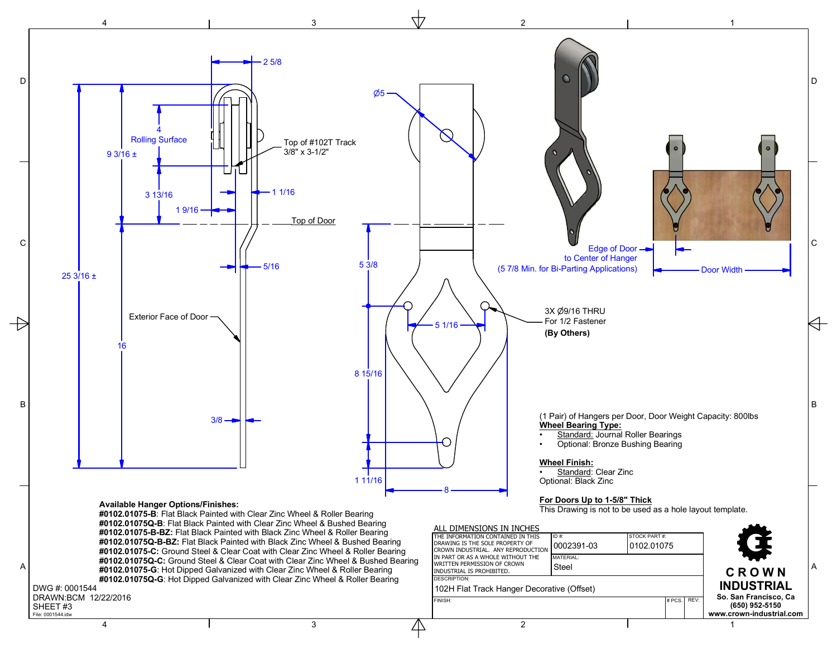